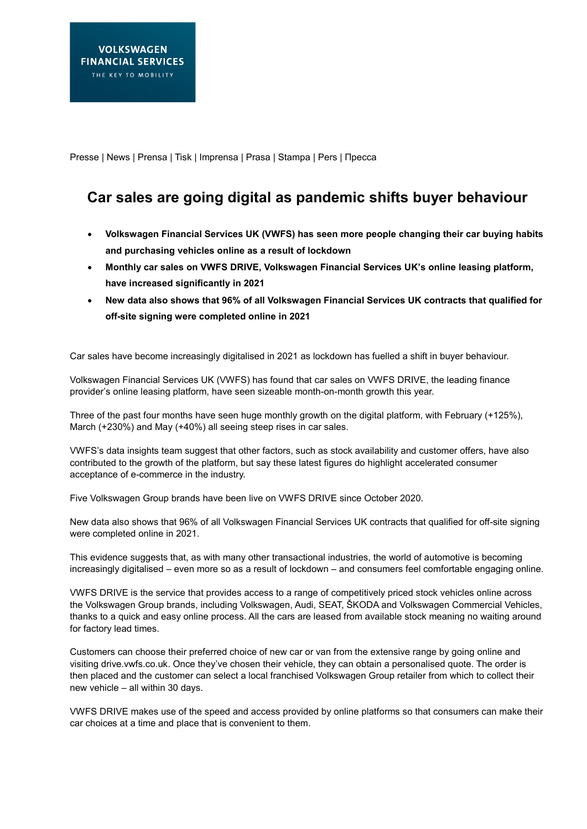Presse | News | Prensa | Tisk | Imprensa | Prasa | Stampa | Pers | Пресса

## **Car sales are going digital as pandemic shifts buyer behaviour**

- **Volkswagen Financial Services UK (VWFS) has seen more people changing their car buying habits and purchasing vehicles online as a result of lockdown**
- **Monthly car sales on VWFS DRIVE, Volkswagen Financial Services UK's online leasing platform, have increased significantly in 2021**
- **New data also shows that 96% of all Volkswagen Financial Services UK contracts that qualified for off-site signing were completed online in 2021**

Car sales have become increasingly digitalised in 2021 as lockdown has fuelled a shift in buyer behaviour.

Volkswagen Financial Services UK (VWFS) has found that car sales on VWFS DRIVE, the leading finance provider's online leasing platform, have seen sizeable month-on-month growth this year.

Three of the past four months have seen huge monthly growth on the digital platform, with February (+125%), March (+230%) and May (+40%) all seeing steep rises in car sales.

VWFS's data insights team suggest that other factors, such as stock availability and customer offers, have also contributed to the growth of the platform, but say these latest figures do highlight accelerated consumer acceptance of e-commerce in the industry.

Five Volkswagen Group brands have been live on VWFS DRIVE since October 2020.

New data also shows that 96% of all Volkswagen Financial Services UK contracts that qualified for off-site signing were completed online in 2021.

This evidence suggests that, as with many other transactional industries, the world of automotive is becoming increasingly digitalised – even more so as a result of lockdown – and consumers feel comfortable engaging online.

VWFS DRIVE is the service that provides access to a range of competitively priced stock vehicles online across the Volkswagen Group brands, including Volkswagen, Audi, SEAT, ŠKODA and Volkswagen Commercial Vehicles, thanks to a quick and easy online process. All the cars are leased from available stock meaning no waiting around for factory lead times.

Customers can choose their preferred choice of new car or van from the extensive range by going online and visiting drive.vwfs.co.uk. Once they've chosen their vehicle, they can obtain a personalised quote. The order is then placed and the customer can select a local franchised Volkswagen Group retailer from which to collect their new vehicle – all within 30 days.

VWFS DRIVE makes use of the speed and access provided by online platforms so that consumers can make their car choices at a time and place that is convenient to them.